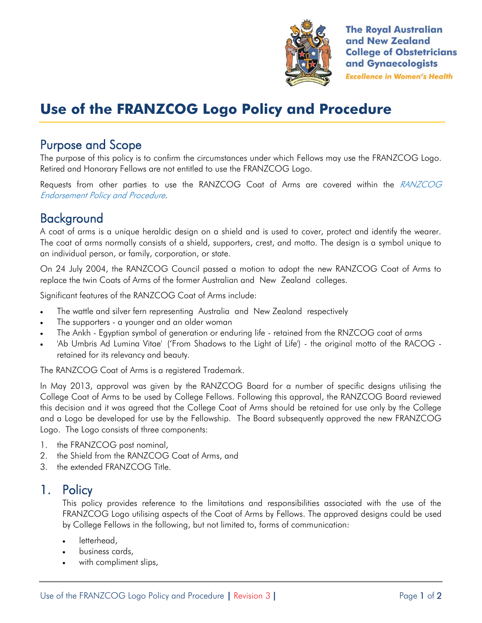

**The Royal Australian** and New Zealand **College of Obstetricians** and Gynaecologists **Excellence in Women's Health** 

# **Use of the FRANZCOG Logo Policy and Procedure**

## Purpose and Scope

The purpose of this policy is to confirm the circumstances under which Fellows may use the FRANZCOG Logo. Retired and Honorary Fellows are not entitled to use the FRANZCOG Logo.

Requests from other parties to use the RANZCOG Coat of Arms are covered within the RANZCOG Endorsement Policy and Procedure.

# **Background**

A coat of arms is a unique heraldic design on a shield and is used to cover, protect and identify the wearer. The coat of arms normally consists of a shield, supporters, crest, and motto. The design is a symbol unique to an individual person, or family, corporation, or state.

On 24 July 2004, the RANZCOG Council passed a motion to adopt the new RANZCOG Coat of Arms to replace the twin Coats of Arms of the former Australian and New Zealand colleges.

Significant features of the RANZCOG Coat of Arms include:

- The wattle and silver fern representing Australia and New Zealand respectively
- The supporters a younger and an older woman
- The Ankh Egyptian symbol of generation or enduring life retained from the RNZCOG coat of arms
- 'Ab Umbris Ad Lumina Vitae' ('From Shadows to the Light of Life') the original motto of the RACOG retained for its relevancy and beauty.

The RANZCOG Coat of Arms is a registered Trademark.

In May 2013, approval was given by the RANZCOG Board for a number of specific designs utilising the College Coat of Arms to be used by College Fellows. Following this approval, the RANZCOG Board reviewed this decision and it was agreed that the College Coat of Arms should be retained for use only by the College and a Logo be developed for use by the Fellowship. The Board subsequently approved the new FRANZCOG Logo. The Logo consists of three components:

- 1. the FRANZCOG post nominal,
- 2. the Shield from the RANZCOG Coat of Arms, and
- 3. the extended FRANZCOG Title.

## 1. Policy

This policy provides reference to the limitations and responsibilities associated with the use of the FRANZCOG Logo utilising aspects of the Coat of Arms by Fellows. The approved designs could be used by College Fellows in the following, but not limited to, forms of communication:

- letterhead,
- business cards,
- with compliment slips,